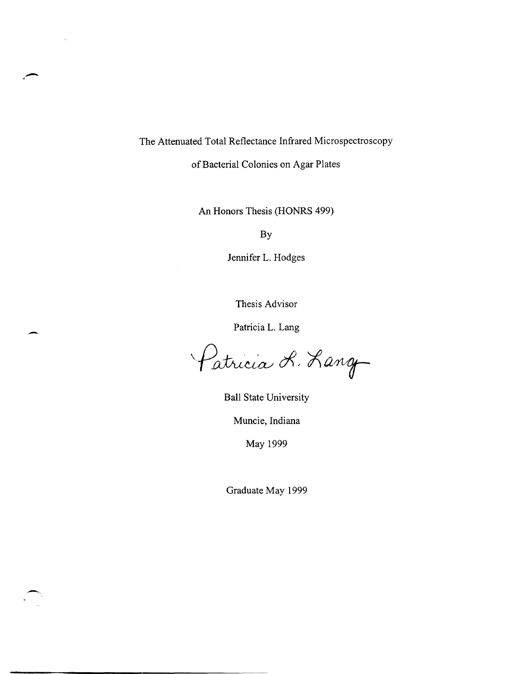The Attenuated Total Reflectance Infrared Microspectroscopy

 $\overline{\phantom{a}}$ 

-

of Bacterial Colonies on Agar Plates

An Honors Thesis (HONRS 499)

By

Jennifer L. Hodges

Thesis Advisor

Patricia L. Lang

Patricia R. Lang

Ball State University

Muncie, Indiana

May 1999

Graduate May 1999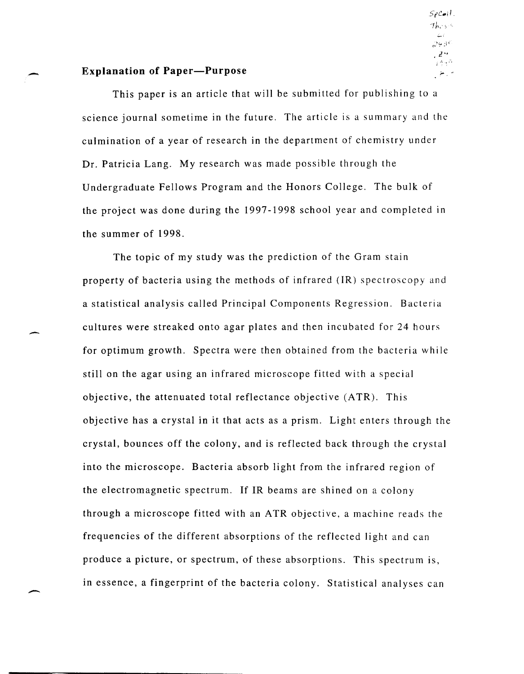### $Spc$ oil.  $Thres$ کان والے ,2"

#### - **Explanation of Paper-Purpose** ,;.... .,

-

This paper is an article that will be submitted for publishing to a science journal sometime in the future. The article is a summary and the culmination of a year of research in the department of chemistry under Dr. Patricia Lang. My research was made possible through the Undergraduate Fellows Program and the Honors College. The bulk of the project was done during the 1997-1998 school year and completed in the summer of 1998.

The topic of my study was the prediction of the Gram stain property of bacteria using the methods of infrared (lR) spectroscopy and a statistical analysis called Principal Components Regression. Bacteria cultures were streaked onto agar plates and then incubated for 24 hours for optimum growth. Spectra were then obtained from the bacteria while still on the agar using an infrared microscope fitted with a special objective, the attenuated total reflectance objective (ATR). This objective has a crystal in it that acts as a prism. Light enters through the crystal, bounces off the colony, and is reflected back through the crystal into the microscope. Bacteria absorb light from the infrared region of the electromagnetic spectrum. If IR beams are shined on a colony through a microscope fitted with an ATR objective, a machine reads the frequencies of the different absorptions of the reflected light and can produce a picture, or spectrum, of these absorptions. This spectrum is, in essence, a fingerprint of the bacteria colony. Statistical analyses can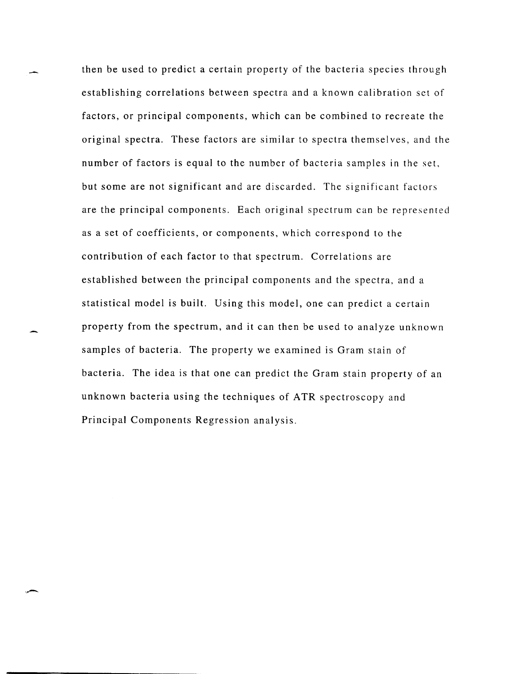then be used to predict a certain property of the bacteria species through establishing correlations between spectra and a known calibration set of factors, or principal components, which can be combined to recreate the original spectra. These factors are similar to spectra themselves, and the number of factors is equal to the number of bacteria samples in the set, but some are not significant and are discarded. The significant factors are the principal components. Each original spectrum can be represented as a set of coefficients, or components, which correspond to the contribution of each factor to that spectrum. Correlations are established between the principal components and the spectra, and a statistical model is built. Using this model, one can predict a certain property from the spectrum, and it can then be used to analyze unknown samples of bacteria. The property we examined is Gram stain of bacteria. The idea is that one can predict the Gram stain property of an unknown bacteria using the techniques of ATR spectroscopy and Principal Components Regression analysis.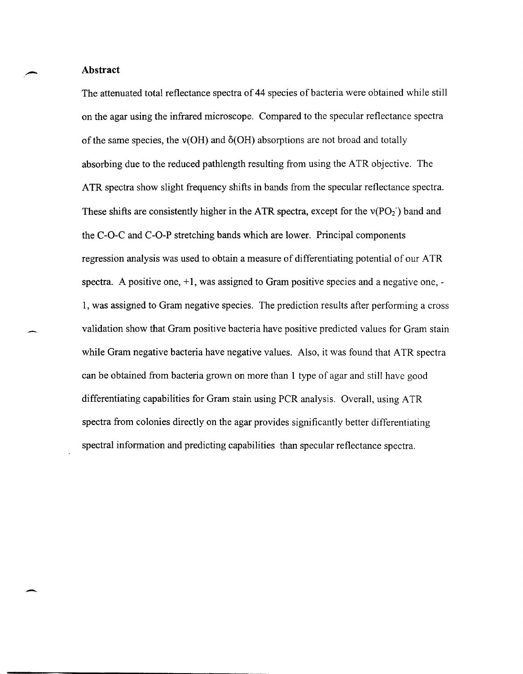**Abstract** 

The attenuated total reflectance spectra of 44 species of bacteria were obtained while still on the agar using the infrared microscope. Compared to the specular reflectance spectra of the same species, the  $v(OH)$  and  $\delta(OH)$  absorptions are not broad and totally absorbing due to the reduced pathlength resulting from using the ATR objective. The ATR spectra show slight frequency shifts in bands from the specular reflectance spectra. These shifts are consistently higher in the ATR spectra, except for the  $v(PO_2^-)$  band and the C-O-C and C-O-P stretching bands which are lower. Principal components regression analysis was used to obtain a measure of differentiating potential of our ATR spectra. A positive one,  $+1$ , was assigned to Gram positive species and a negative one, -1, was assigned to Gram negative species. The prediction results after performing a cross validation show that Gram positive bacteria have positive predicted values for Gram stain while Gram negative bacteria have negative values. Also, it was found that ATR spectra can be obtained from bacteria grown on more than 1 type of agar and still have good differentiating capabilities for Gram stain using PCR analysis. Overall, using ATR spectra from colonies directly on the agar provides significantly better differentiating spectral information and predicting capabilities than specular reflectance spectra.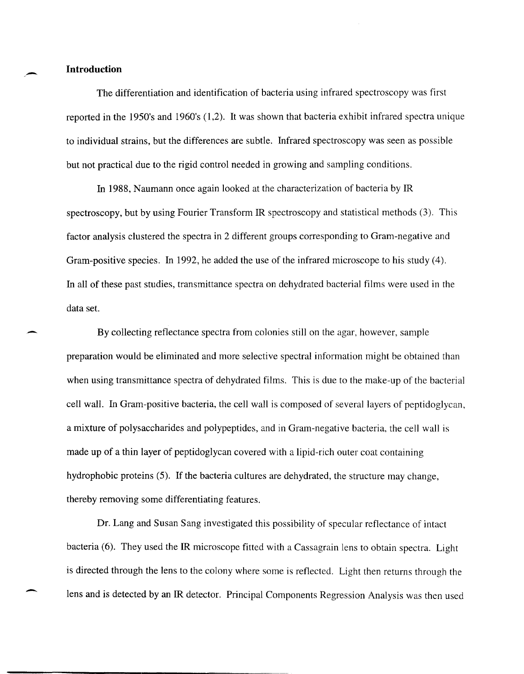**Introduction** 

-

The differentiation and identification of bacteria using infrared spectroscopy was first reported in the 1950's and 1960's (l,2). It was shown that bacteria exhibit infrared spectra unique to individual strains, but the differences are subtle. Infrared spectroscopy was seen as possible but not practical due to the rigid control needed in growing and sampling conditions.

In 1988, Naumann once again looked at the characterization of bacteria by IR spectroscopy, but by using Fourier Transform IR spectroscopy and statistical methods (3). This factor analysis clustered the spectra in 2 different groups corresponding to Gram-negative and Gram-positive species. In 1992, he added the use of the infrared microscope to his study (4). In all of these past studies, transmittance spectra on dehydrated bacterial films were used in the data set.

By collecting reflectance spectra from colonies still on the agar, however, sample preparation would be eliminated and more selective spectral information might be obtained than when using transmittance spectra of dehydrated films. This is due to the make-up of the bacterial cell wall. In Gram-positive bacteria, the cell wall is composed of several layers of peptidoglycan, a mixture of polysaccharides and polypeptides, and in Gram-negative bacteria, the cell wall is made up of a thin layer of peptidoglycan covered with a lipid-rich outer coat containing hydrophobic proteins (5). If the bacteria cultures are dehydrated, the structure may change, thereby removing some differentiating features.

Dr. Lang and Susan Sang investigated this possibility of specular reflectance of intact bacteria (6). They used the IR microscope fitted with a Cassagrain lens to obtain spectra. Light is directed through the lens to the colony where some is reflected. Light then returns through the lens and is detected by an IR detector. Principal Components Regression Analysis was then used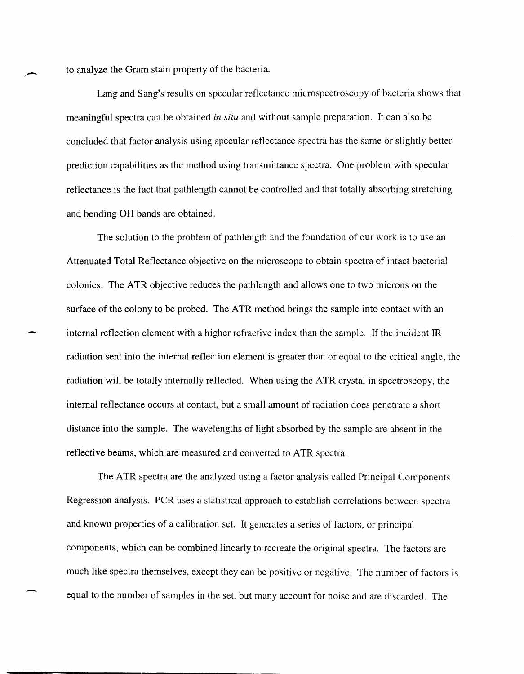to analyze the Gram stain property of the bacteria.

,-

-

Lang and Sang's results on specular reflectance microspectroscopy of bacteria shows that meaningful spectra can be obtained *in situ* and without sample preparation. It can also be concluded that factor analysis using specular reflectance spectra has the same or slightly better prediction capabilities as the method using transmittance spectra. One problem with specular reflectance is the fact that pathlength cannot be controlled and that totally absorbing stretching and bending OR bands are obtained.

The solution to the problem of pathlength and the foundation of our work is to use an Attenuated Total Reflectance objective on the microscope to obtain spectra of intact bacterial colonies. The ATR objective reduces the pathlength and allows one to two microns on the surface of the colony to be probed. The ATR method brings the sample into contact with an internal reflection element with a higher refractive index than the sample. If the incident IR radiation sent into the internal reflection element is greater than or equal to the critical angle, the radiation will be totally internally reflected. When using the ATR crystal in spectroscopy, the internal reflectance occurs at contact, but a small amount of radiation does penetrate a short distance into the sample. The wavelengths of light absorbed by the sample are absent in the reflective beams, which are measured and converted to ATR spectra.

The ATR spectra are the analyzed using a factor analysis called Principal Components Regression analysis. PCR uses a statistical approach to establish correlations between spectra and known properties of a calibration set. It generates a series of factors, or principal components, which can be combined linearly to recreate the original spectra. The factors are much like spectra themselves, except they can be positive or negative. The number of factors is equal to the number of samples in the set, but many account for noise and are discarded. The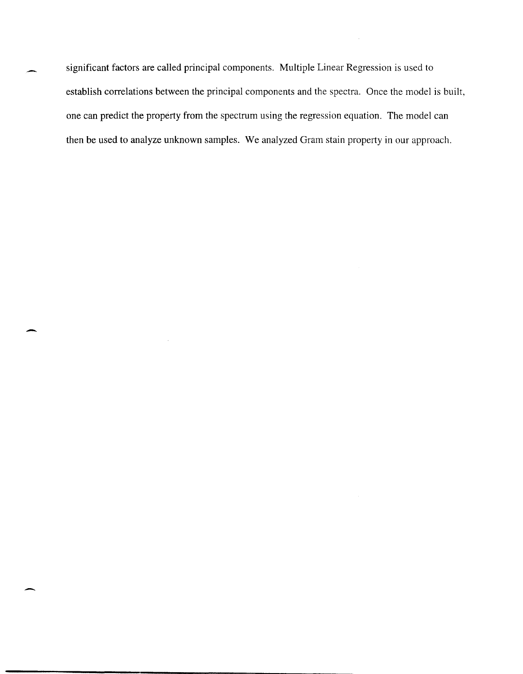significant factors are called principal components. Multiple Linear Regression is used to establish correlations between the principal components and the spectra. Once the model is built, one can predict the property from the spectrum using the regression equation. The model can then be used to analyze unknown samples. We analyzed Gram stain property in our approach.

-

-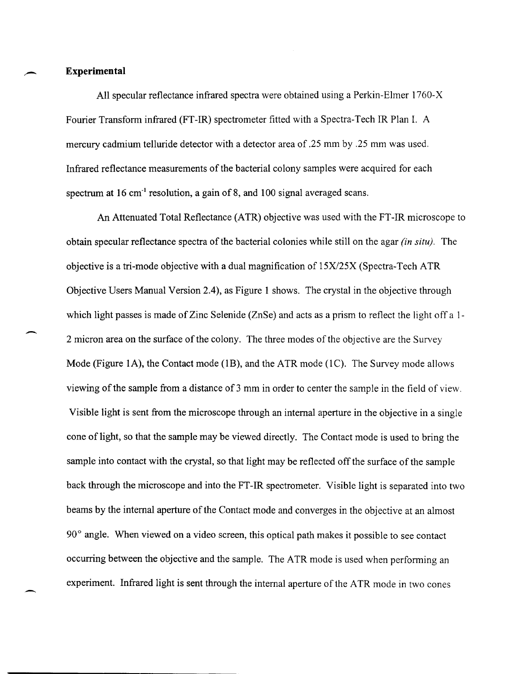..-..

-

#### **Experimental**

All specular reflectance infrared spectra were obtained using a Perkin-Elmer 1760-X Fourier Transform infrared (FT-IR) spectrometer fitted with a Spectra-Tech IR Plan 1. A mercury cadmium telluride detector with a detector area of .25 mm by .25 mm was used. Infrared reflectance measurements of the bacterial colony samples were acquired for each spectrum at  $16 \text{ cm}^{-1}$  resolution, a gain of 8, and  $100$  signal averaged scans.

An Attenuated Total Reflectance (ATR) objective was used with the FT-IR microscope to obtain specular reflectance spectra of the bacterial colonies while still on the agar *(in situ).* The objective is a tri-mode objective with a dual magnification of 15X125X (Spectra-Tech ATR Objective Users Manual Version 2.4), as Figure 1 shows. The crystal in the objective through which light passes is made of Zinc Selenide (ZnSe) and acts as a prism to reflect the light off a 1-2 micron area on the surface of the colony. The three modes of the objective are the Survey Mode (Figure lA), the Contact mode (IB), and the ATR mode (IC). The Survey mode allows viewing of the sample from a distance of3 mm in order to center the sample in the field of view. Visible light is sent from the microscope through an internal aperture in the objective in a single cone of light, so that the sample may be viewed directly. The Contact mode is used to bring the sample into contact with the crystal, so that light may be reflected off the surface of the sample back through the microscope and into the FT-IR spectrometer. Visible light is separated into two beams by the internal aperture of the Contact mode and converges in the objective at an almost 90° angle. When viewed on a video screen, this optical path makes it possible to see contact occurring between the objective and the sample. The ATR mode is used when performing an experiment. Infrared light is sent through the internal aperture of the ATR mode in two cones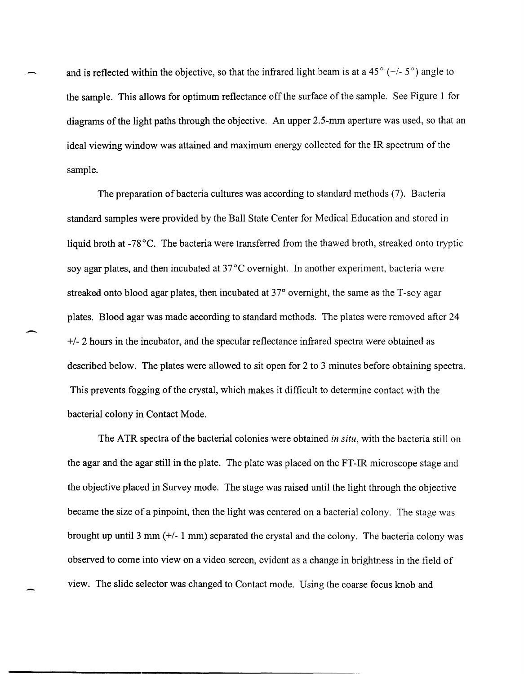and is reflected within the objective, so that the infrared light beam is at a 45 $\degree$  (+/-5 $\degree$ ) angle to the sample. This allows for optimum reflectance offthe surface of the sample. See Figure 1 for diagrams of the light paths through the objective. An upper 2.5-mm aperture was used, so that an ideal viewing window was attained and maximum energy collected for the IR spectrum of the sample.

The preparation of bacteria cultures was according to standard methods (7). Bacteria standard samples were provided by the Ball State Center for Medical Education and stored in liquid broth at  $-78^{\circ}$ C. The bacteria were transferred from the thawed broth, streaked onto tryptic soy agar plates, and then incubated at 37°C overnight. In another experiment, bacteria were streaked onto blood agar plates, then incubated at  $37^{\circ}$  overnight, the same as the T-soy agar plates. Blood agar was made according to standard methods. The plates were removed after 24 +/- 2 hours in the incubator, and the specular reflectance infrared spectra were obtained as described below. The plates were allowed to sit open for 2 to 3 minutes before obtaining spectra. This prevents fogging of the crystal, which makes it difficult to determine contact with the bacterial colony in Contact Mode.

-

The ATR spectra of the bacterial colonies were obtained *in situ*, with the bacteria still on the agar and the agar still in the plate. The plate was placed on the FT-IR microscope stage and the objective placed in Survey mode. The stage was raised until the light through the objective became the size of a pinpoint, then the light was centered on a bacterial colony. The stage was brought up until 3 mm *(+1-* 1 mm) separated the crystal and the colony. The bacteria colony was observed to come into view on a video screen, evident as a change in brightness in the field of view. The slide selector was changed to Contact mode. Using the coarse focus knob and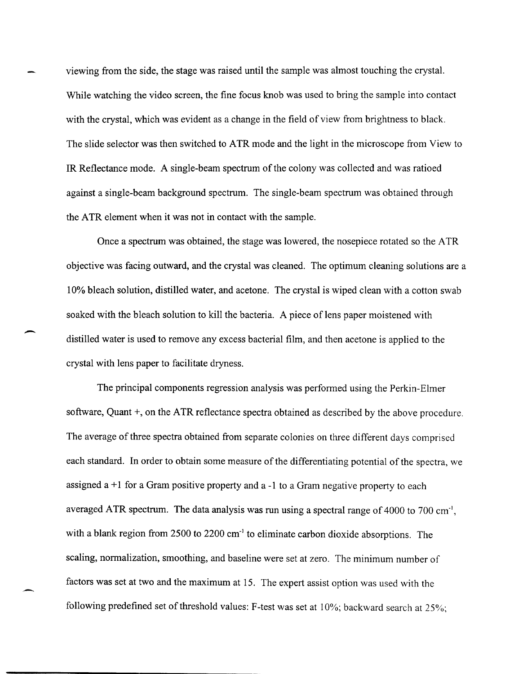viewing from the side, the stage was raised until the sample was almost touching the crystal. While watching the video screen, the fine focus knob was used to bring the sample into contact with the crystal, which was evident as a change in the field of view from brightness to black. The slide selector was then switched to ATR mode and the light in the microscope from View to IR Reflectance mode. A single-beam spectrum of the colony was collected and was ratioed against a single-beam background spectrum. The single-beam spectrum was obtained through the ATR element when it was not in contact with the sample.

Once a spectrum was obtained, the stage was lowered, the nosepiece rotated so the A TR objective was facing outward, and the crystal was cleaned. The optimum cleaning solutions are a 10% bleach solution, distilled water, and acetone. The crystal is wiped clean with a cotton swab soaked with the bleach solution to kill the bacteria. A piece of lens paper moistened with distilled water is used to remove any excess bacterial film, and then acetone is applied to the crystal with lens paper to facilitate dryness.

The principal components regression analysis was performed using the Perkin-Elmer software, Quant +, on the ATR reflectance spectra obtained as described by the above procedure. The average of three spectra obtained from separate colonies on three different days comprised each standard. In order to obtain some measure of the differentiating potential of the spectra, we assigned a +1 for a Gram positive property and a -1 to a Gram negative property to each averaged ATR spectrum. The data analysis was run using a spectral range of 4000 to 700 cm<sup>-1</sup>, with a blank region from  $2500$  to  $2200 \text{ cm}^{-1}$  to eliminate carbon dioxide absorptions. The scaling, normalization, smoothing, and baseline were set at zero. The minimum number of factors was set at two and the maximum at 15. The expert assist option was used with the following predefined set of threshold values: F-test was set at 10%; backward search at 25%;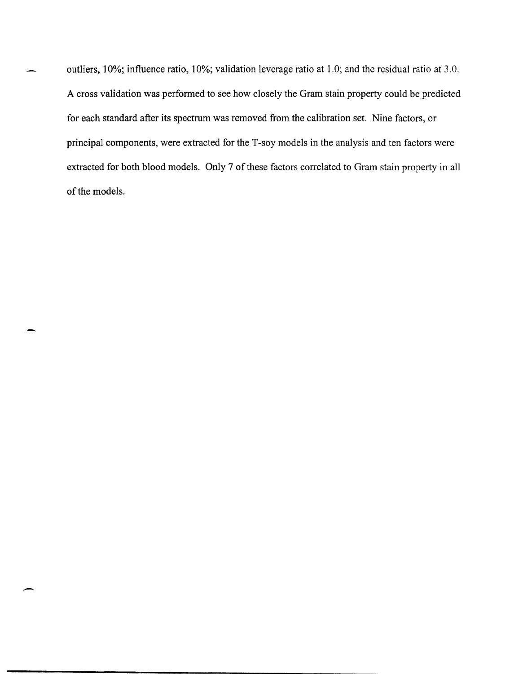outliers, 10%; influence ratio, 10%; validation leverage ratio at 1.0; and the residual ratio at 3.0. A cross validation was performed to see how closely the Gram stain property could be predicted for each standard after its spectrum was removed from the calibration set. Nine factors, or principal components, were extracted for the T-soy models in the analysis and ten factors were extracted for both blood models. Only 7 of these factors correlated to Gram stain property in all of the models.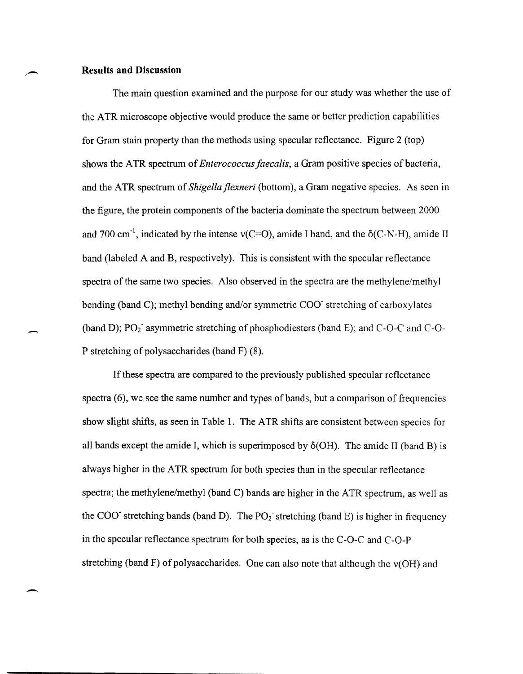#### **Results and Discussion**

<.-

-

The main question examined and the purpose for our study was whether the use of the ATR microscope objective would produce the same or better prediction capabilities for Gram stain property than the methods using specular reflectance. Figure 2 (top) shows the ATR spectrum of *Enterococcus faecalis*, a Gram positive species of bacteria, and the ATR spectrum of *Shigella flexneri* (bottom), a Gram negative species. As seen in the figure, the protein components of the bacteria dominate the spectrum between 2000 and 700 cm<sup>-1</sup>, indicated by the intense  $v(C=O)$ , amide I band, and the  $\delta(C-N-H)$ , amide II band (labeled A and B, respectively). This is consistent with the specular reflectance spectra of the same two species. Also observed in the spectra are the methylene/methyl bending (band C); methyl bending and/or symmetric COO- stretching of carboxylates (band D);  $PO_2^-$  asymmetric stretching of phosphodiesters (band E); and C-O-C and C-O-P stretching of polysaccharides (band F) (8).

If these spectra are compared to the previously published specular reflectance spectra (6), we see the same number and types of bands, but a comparison of frequencies show slight shifts, as seen in Table 1. The ATR shifts are consistent between species for all bands except the amide I, which is superimposed by  $\delta(OH)$ . The amide II (band B) is always higher in the ATR spectrum for both species than in the specular reflectance spectra; the methylene/methyl (band C) bands are higher in the ATR spectrum, as well as the COO<sup>-</sup> stretching bands (band D). The  $PQ_2$ <sup>-</sup> stretching (band E) is higher in frequency in the specular reflectance spectrum for both species, as is the C-O-C and C-O-P stretching (band F) of polysaccharides. One can also note that although the v(OH) and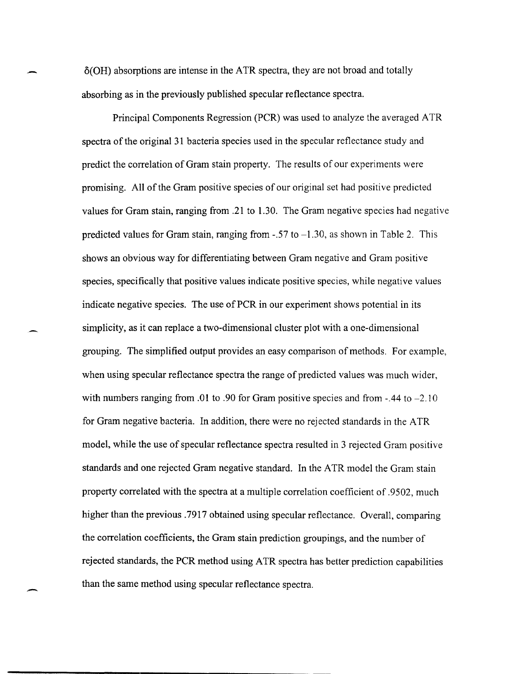$\delta$ (OH) absorptions are intense in the ATR spectra, they are not broad and totally absorbing as in the previously published specular reflectance spectra.

Principal Components Regression (PCR) was used to analyze the averaged A TR spectra of the original 31 bacteria species used in the specular reflectance study and predict the correlation of Gram stain property. The results of our experiments were promising. All of the Gram positive species of our original set had positive predicted values for Gram stain, ranging from .21 to 1.30. The Gram negative species had negative predicted values for Gram stain, ranging from  $-57$  to  $-1.30$ , as shown in Table 2. This shows an obvious way for differentiating between Gram negative and Gram positive species, specifically that positive values indicate positive species, while negative values indicate negative species. The use of PCR in our experiment shows potential in its simplicity, as it can replace a two-dimensional cluster plot with a one-dimensional grouping. The simplified output provides an easy comparison of methods. For example, when using specular reflectance spectra the range of predicted values was much wider, with numbers ranging from .01 to .90 for Gram positive species and from  $-.44$  to  $-2.10$ for Gram negative bacteria. In addition, there were no rejected standards in the ATR model, while the use of specular reflectance spectra resulted in 3 rejected Gram positive standards and one rejected Gram negative standard. In the ATR model the Gram stain property correlated with the spectra at a mUltiple correlation coefficient of .9502, much higher than the previous .7917 obtained using specular reflectance. Overall, comparing the correlation coefficients, the Gram stain prediction groupings, and the number of rejected standards, the PCR method using ATR spectra has better prediction capabilities than the same method using specular reflectance spectra.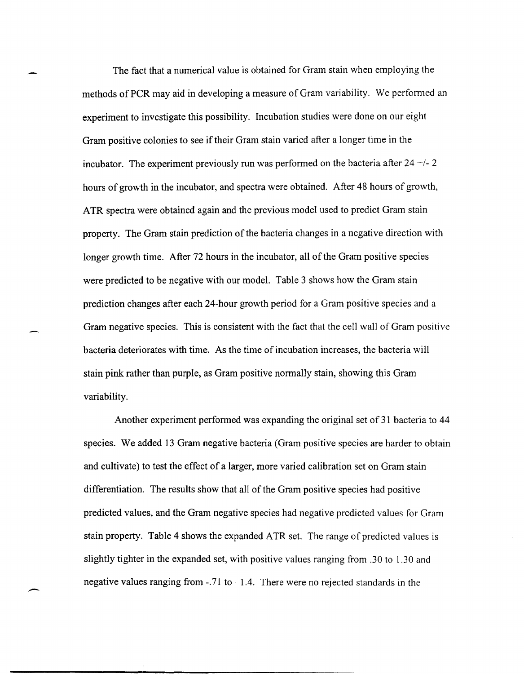The fact that a numerical value is obtained for Gram stain when employing the methods ofPCR may aid in developing a measure of Gram variability. We performed an experiment to investigate this possibility. Incubation studies were done on our eight Gram positive colonies to see if their Gram stain varied after a longer time in the incubator. The experiment previously run was performed on the bacteria after 24 +/- 2 hours of growth in the incubator, and spectra were obtained. After 48 hours of growth, ATR spectra were obtained again and the previous model used to predict Gram stain property. The Gram stain prediction of the bacteria changes in a negative direction with longer growth time. After 72 hours in the incubator, all of the Gram positive species were predicted to be negative with our model. Table 3 shows how the Gram stain prediction changes after each 24-hour growth period for a Gram positive species and a Gram negative species. This is consistent with the fact that the cell wall of Gram positive bacteria deteriorates with time. As the time of incubation increases, the bacteria will stain pink rather than purple, as Gram positive normally stain, showing this Gram variability.

Another experiment performed was expanding the original set of 31 bacteria to 44 species. We added 13 Gram negative bacteria (Gram positive species are harder to obtain and cultivate) to test the effect of a larger, more varied calibration set on Gram stain differentiation. The results show that all of the Gram positive species had positive predicted values, and the Gram negative species had negative predicted values for Gram stain property. Table 4 shows the expanded ATR set. The range of predicted values is slightly tighter in the expanded set, with positive values ranging from .30 to 1.30 and negative values ranging from  $-71$  to  $-1.4$ . There were no rejected standards in the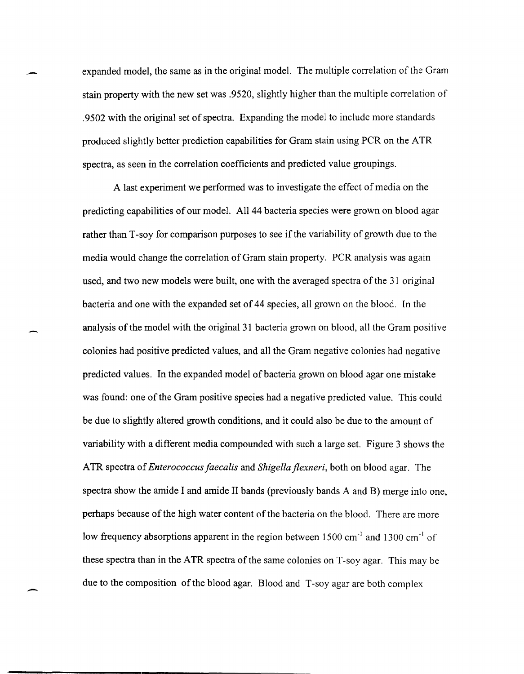expanded model, the same as in the original model. The multiple correlation of the Gram stain property with the new set was .9520, slightly higher than the multiple correlation of .9502 with the original set of spectra. Expanding the model to include more standards produced slightly better prediction capabilities for Gram stain using PCR on the ATR spectra, as seen in the correlation coefficients and predicted value groupings.

A last experiment we performed was to investigate the effect of media on the predicting capabilities of our model. All 44 bacteria species were grown on blood agar rather than T-soy for comparison purposes to see if the variability of growth due to the media would change the correlation of Gram stain property. PCR analysis was again used, and two new models were built, one with the averaged spectra of the 31 original bacteria and one with the expanded set of 44 species, all grown on the blood. In the analysis of the model with the original 31 bacteria grown on blood, all the Gram positive colonies had positive predicted values, and all the Gram negative colonies had negative predicted values. In the expanded model of bacteria grown on blood agar one mistake was found: one of the Gram positive species had a negative predicted value. This could be due to slightly altered growth conditions, and it could also be due to the amount of variability with a different media compounded with such a large set. Figure 3 shows the ATR spectra of *Enterococcusfaecalis* and *Shigellaflexneri,* both on blood agar. The spectra show the amide I and amide II bands (previously bands A and B) merge into one, perhaps because of the high water content of the bacteria on the blood. There are more low frequency absorptions apparent in the region between  $1500 \text{ cm}^{-1}$  and  $1300 \text{ cm}^{-1}$  of these spectra than in the ATR spectra of the same colonies on T-soy agar. This may be due to the composition of the blood agar. Blood and T-soy agar are both complex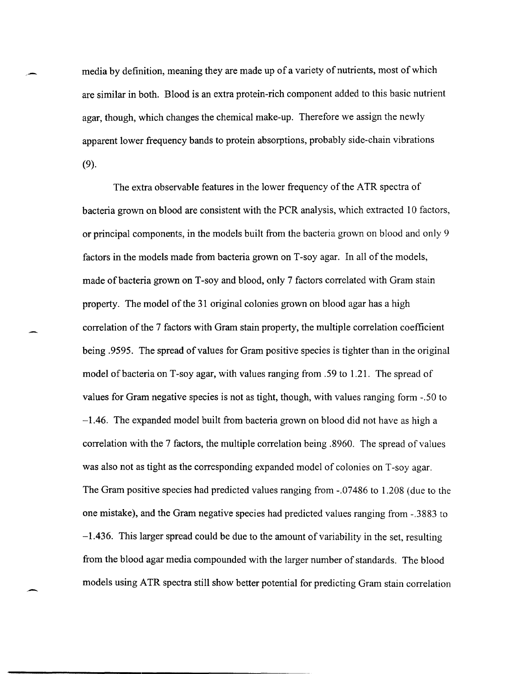media by definition, meaning they are made up of a variety of nutrients, most of which are similar in both. Blood is an extra protein-rich component added to this basic nutrient agar, though, which changes the chemical make-up. Therefore we assign the newly apparent lower frequency bands to protein absorptions, probably side-chain vibrations (9).

The extra observable features in the lower frequency of the ATR spectra of bacteria grown on blood are consistent with the PCR analysis, which extracted 10 factors, or principal components, in the models built from the bacteria grown on blood and only 9 factors in the models made from bacteria grown on T-soy agar. In all of the models, made of bacteria grown on T-soy and blood, only 7 factors correlated with Gram stain property. The model of the 31 original colonies grown on blood agar has a high correlation of the 7 factors with Gram stain property, the multiple correlation coefficient being .9595. The spread of values for Gram positive species is tighter than in the original model of bacteria on T-soy agar, with values ranging from .59 to 1.21. The spread of values for Gram negative species is not as tight, though, with values ranging form -.50 to -1.46. The expanded model built from bacteria grown on blood did not have as high a correlation with the 7 factors, the multiple correlation being .8960. The spread of values was also not as tight as the corresponding expanded model of colonies on T-soy agar. The Gram positive species had predicted values ranging from -.07486 to 1.208 (due to the one mistake), and the Gram negative species had predicted values ranging from -.3883 to -1.436. This larger spread could be due to the amount of variability in the set, resulting from the blood agar media compounded with the larger number of standards. The blood models using ATR spectra still show better potential for predicting Gram stain correlation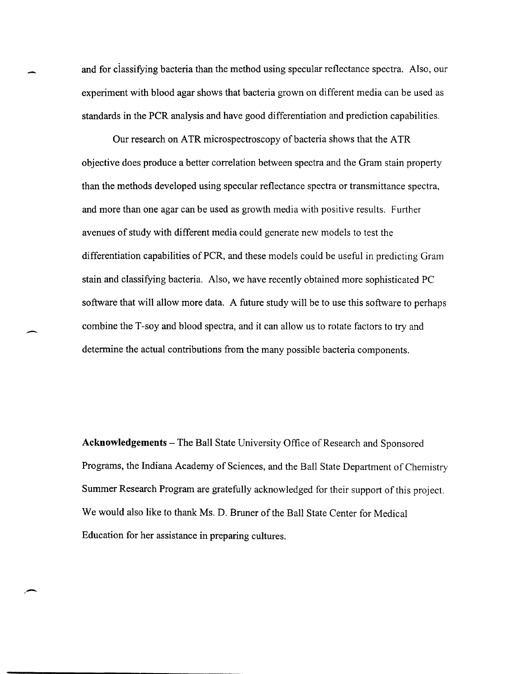and for ciassifying bacteria than the method using specular reflectance spectra. Also, our experiment with blood agar shows that bacteria grown on different media can be used as standards in the PCR analysis and have good differentiation and prediction capabilities.

Our research on ATR microspectroscopy of bacteria shows that the ATR objective does produce a better correlation between spectra and the Gram stain property than the methods developed using specular reflectance spectra or transmittance spectra, and more than one agar can be used as growth media with positive results. Further avenues of study with different media could generate new models to test the differentiation capabilities of PCR, and these models could be useful in predicting Gram stain and classifying bacteria. Also, we have recently obtained more sophisticated PC software that will allow more data. A future study will be to use this software to perhaps combine the T -soy and blood spectra, and it can allow us to rotate factors to try and determine the actual contributions from the many possible bacteria components.

-

,-

Acknowledgements - The Ball State University Office of Research and Sponsored Programs, the Indiana Academy of Sciences, and the Ball State Department of Chemistry Summer Research Program are gratefully acknowledged for their support of this project. We would also like to thank Ms. D. Bruner of the Ball State Center for Medical Education for her assistance in preparing cultures.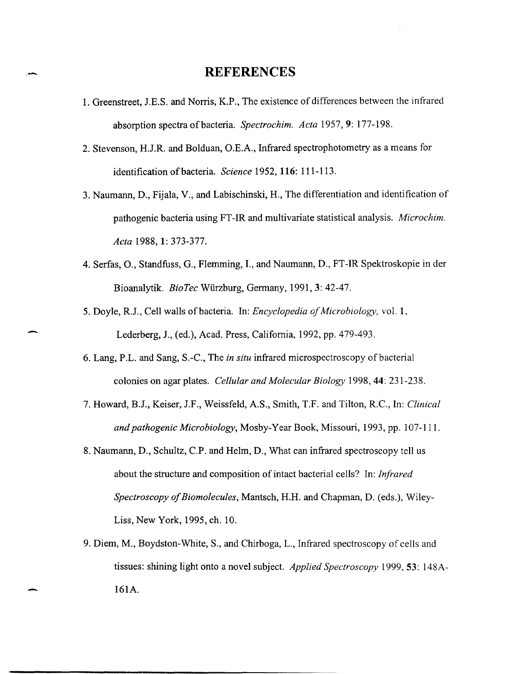#### **REFERENCES**

.-

- 1. Greenstreet, J.E.S. and Norris, K.P., The existence of differences between the infrared absorption spectra of bacteria. *Spectrochim. Acta* 1957,9: 177-198.
- 2. Stevenson, H.IR. and Bolduan, O.E.A., Infrared spectrophotometry as a means for identification of bacteria. *Science* 1952, 116: 111-113.
- 3. Naumann, D., Fijala, V., and Labischinski, H., The differentiation and identification of pathogenic bacteria using FT-IR and multivariate statistical analysis. *Microchim. Acta* 1988,1: 373-377.
- 4. Serfas, 0., Standfuss, G., Flemming, I., and Naumann, D., FT-IR Spektroskopie in der Bioanalytik. *BioTec* Wiirzburg, Germany, 1991,3: 42-47.
- 5. Doyle, R.I, Cell walls of bacteria. In: *Encyclopedia of Microbiology,* vol. 1, Lederberg, J., (ed.), Acad. Press, California, 1992, pp. 479-493.
- 6. Lang, P.L. and Sang, S.-C., The *in situ* infrared microspectroscopy of bacterial colonies on agar plates. *Cellular and Molecular Biology* 1998,44: 231-238.
- 7. Howard, B.I, Keiser, IF., Weissfeld, A.S., Smith, T.F. and Tilton, R.C., In: *Clinical and pathogenic Microbiology,* Mosby-Year Book, Missouri, 1993, pp. 107-111.
- 8. Naumann, D., Schultz, C.P. and Helm, D., What can infrared spectroscopy tell us about the structure and composition of intact bacterial cells? In: *Infrared Spectroscopy of Biomolecules,* Mantsch, H.H. and Chapman, D. (eds.), Wiley-Liss, New York, 1995, ch. 10.
- 9. Diem, M., Boydston-White, S., and Chirboga, L., Infrared spectroscopy of cells and tissues: shining light onto a novel subject. *Applied Spectroscopy* 1999,53: 148A-161A.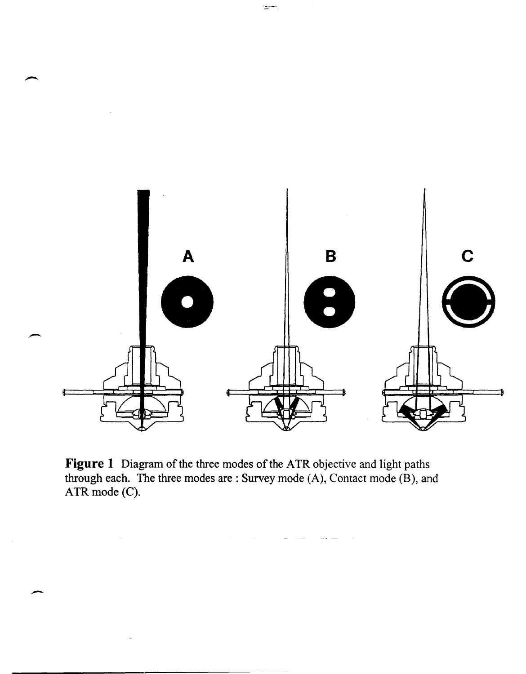

**Figure 1** Diagram of the three modes of the ATR objective and light paths through each. The three modes are: Survey mode (A), Contact mode (B), and ATR mode (C).

 $\sim$   $\sim$   $\sim$ 

 $\sim$   $\sim$   $\sim$ 

 $\overline{\phantom{0}}$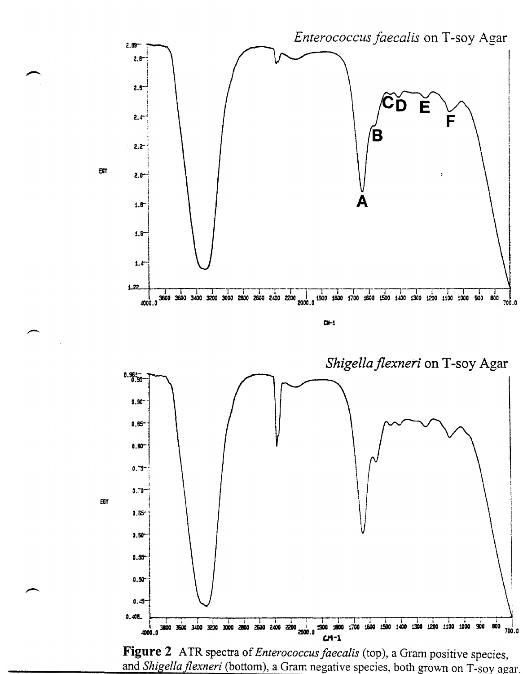

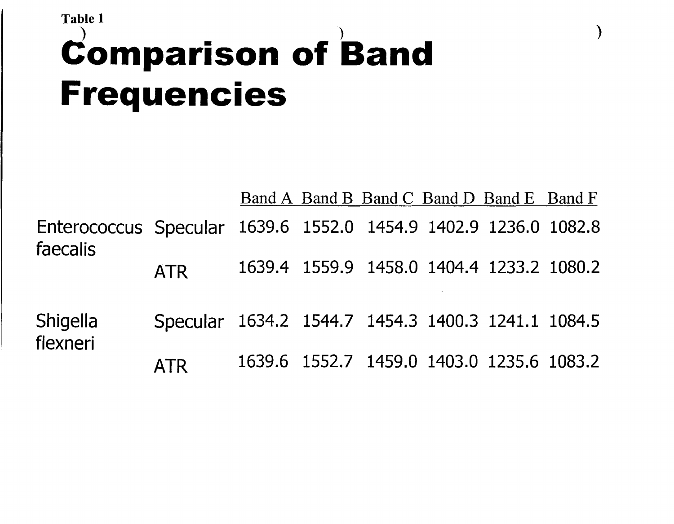## Table 1 ) and  $\overline{a}$  ( ) and ( ) and ( ) and ( ) and ( ) and ( ) and ( ) and ( ) and ( ) and ( ) and ( ) is defined as  $\overline{a}$  ( ) and ( ) and ( ) and ( ) and ( ) and ( ) and ( ) and ( ) and ( ) and ( ) and ( ) and ( ) and ( ) **Comparison of Band Frequencies**

Band A Band B Band C Band D Band E Band F Enterococcus Specular 1639.6 1552.0 1454.9 1402.9 1236.0 1082.8 faecalis **Shigella** flexneri ATR 1639.4 1559.9 1458.0 1404.4 1233.2 1080.2 Specular 1634.2 1544.7 1454.3 1400.3 1241.1 1084.5 ATR 1639.6 1552.7 1459.0 1403.0 1235.6 1083.2

)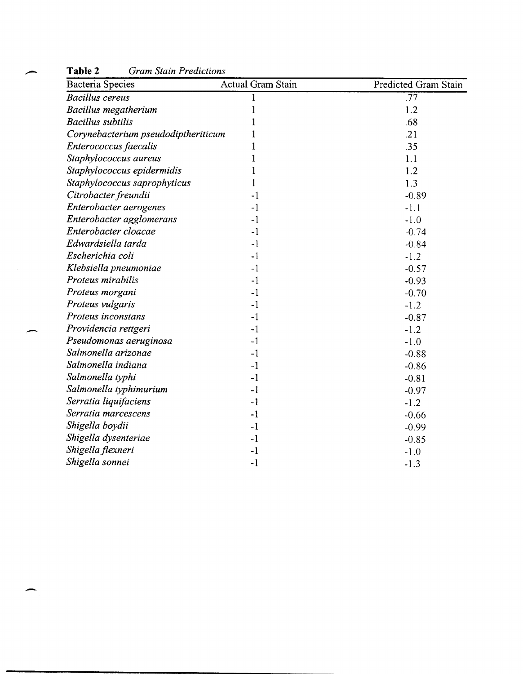| <b>Bacillus</b> cereus<br>.77<br><b>Bacillus megatherium</b><br>1.2<br><b>Bacillus subtilis</b><br>.68<br>Corynebacterium pseudodiptheriticum<br>.21<br>Enterococcus faecalis<br>.35<br>Staphylococcus aureus<br>1.1<br>Staphylococcus epidermidis<br>1.2<br>Staphylococcus saprophyticus<br>1.3<br>Citrobacter freundii<br>$-0.89$<br>$-1$<br>Enterobacter aerogenes<br>$-1.1$<br>$-1$<br>Enterobacter agglomerans<br>$-1.0$<br>$-1$<br>Enterobacter cloacae<br>$-0.74$<br>$-1$<br>Edwardsiella tarda<br>$-1$<br>$-0.84$<br>Escherichia coli<br>$-1$<br>$-1.2$<br>Klebsiella pneumoniae<br>$-1$<br>$-0.57$<br>Proteus mirabilis<br>$-1$<br>$-0.93$<br>Proteus morgani<br>$-1$<br>$-0.70$<br>Proteus vulgaris<br>$-1$<br>$-1.2$<br>Proteus inconstans<br>$-1$<br>$-0.87$<br>Providencia rettgeri<br>$-1$<br>$-1.2$<br>Pseudomonas aeruginosa<br>$-1$<br>$-1.0$<br>Salmonella arizonae<br>$-1$<br>$-0.88$<br>Salmonella indiana<br>$-1$<br>$-0.86$<br>Salmonella typhi<br>$-1$<br>$-0.81$<br>Salmonella typhimurium<br>$-0.97$<br>$-1$<br>Serratia liquifaciens<br>$-1$<br>$-1.2$<br>Serratia marcescens<br>$-1$<br>$-0.66$<br>Shigella boydii<br>-1<br>$-0.99$<br>Shigella dysenteriae<br>$-1$<br>$-0.85$<br>Shigella flexneri<br>$-1$<br>$-1.0$<br>Shigella sonnei<br>$-1$<br>$-1.3$ | Bacteria Species | Actual Gram Stain | Predicted Gram Stain |
|---------------------------------------------------------------------------------------------------------------------------------------------------------------------------------------------------------------------------------------------------------------------------------------------------------------------------------------------------------------------------------------------------------------------------------------------------------------------------------------------------------------------------------------------------------------------------------------------------------------------------------------------------------------------------------------------------------------------------------------------------------------------------------------------------------------------------------------------------------------------------------------------------------------------------------------------------------------------------------------------------------------------------------------------------------------------------------------------------------------------------------------------------------------------------------------------------------------------------------------------------------------------------------------|------------------|-------------------|----------------------|
|                                                                                                                                                                                                                                                                                                                                                                                                                                                                                                                                                                                                                                                                                                                                                                                                                                                                                                                                                                                                                                                                                                                                                                                                                                                                                       |                  |                   |                      |
|                                                                                                                                                                                                                                                                                                                                                                                                                                                                                                                                                                                                                                                                                                                                                                                                                                                                                                                                                                                                                                                                                                                                                                                                                                                                                       |                  |                   |                      |
|                                                                                                                                                                                                                                                                                                                                                                                                                                                                                                                                                                                                                                                                                                                                                                                                                                                                                                                                                                                                                                                                                                                                                                                                                                                                                       |                  |                   |                      |
|                                                                                                                                                                                                                                                                                                                                                                                                                                                                                                                                                                                                                                                                                                                                                                                                                                                                                                                                                                                                                                                                                                                                                                                                                                                                                       |                  |                   |                      |
|                                                                                                                                                                                                                                                                                                                                                                                                                                                                                                                                                                                                                                                                                                                                                                                                                                                                                                                                                                                                                                                                                                                                                                                                                                                                                       |                  |                   |                      |
|                                                                                                                                                                                                                                                                                                                                                                                                                                                                                                                                                                                                                                                                                                                                                                                                                                                                                                                                                                                                                                                                                                                                                                                                                                                                                       |                  |                   |                      |
|                                                                                                                                                                                                                                                                                                                                                                                                                                                                                                                                                                                                                                                                                                                                                                                                                                                                                                                                                                                                                                                                                                                                                                                                                                                                                       |                  |                   |                      |
|                                                                                                                                                                                                                                                                                                                                                                                                                                                                                                                                                                                                                                                                                                                                                                                                                                                                                                                                                                                                                                                                                                                                                                                                                                                                                       |                  |                   |                      |
|                                                                                                                                                                                                                                                                                                                                                                                                                                                                                                                                                                                                                                                                                                                                                                                                                                                                                                                                                                                                                                                                                                                                                                                                                                                                                       |                  |                   |                      |
|                                                                                                                                                                                                                                                                                                                                                                                                                                                                                                                                                                                                                                                                                                                                                                                                                                                                                                                                                                                                                                                                                                                                                                                                                                                                                       |                  |                   |                      |
|                                                                                                                                                                                                                                                                                                                                                                                                                                                                                                                                                                                                                                                                                                                                                                                                                                                                                                                                                                                                                                                                                                                                                                                                                                                                                       |                  |                   |                      |
|                                                                                                                                                                                                                                                                                                                                                                                                                                                                                                                                                                                                                                                                                                                                                                                                                                                                                                                                                                                                                                                                                                                                                                                                                                                                                       |                  |                   |                      |
|                                                                                                                                                                                                                                                                                                                                                                                                                                                                                                                                                                                                                                                                                                                                                                                                                                                                                                                                                                                                                                                                                                                                                                                                                                                                                       |                  |                   |                      |
|                                                                                                                                                                                                                                                                                                                                                                                                                                                                                                                                                                                                                                                                                                                                                                                                                                                                                                                                                                                                                                                                                                                                                                                                                                                                                       |                  |                   |                      |
|                                                                                                                                                                                                                                                                                                                                                                                                                                                                                                                                                                                                                                                                                                                                                                                                                                                                                                                                                                                                                                                                                                                                                                                                                                                                                       |                  |                   |                      |
|                                                                                                                                                                                                                                                                                                                                                                                                                                                                                                                                                                                                                                                                                                                                                                                                                                                                                                                                                                                                                                                                                                                                                                                                                                                                                       |                  |                   |                      |
|                                                                                                                                                                                                                                                                                                                                                                                                                                                                                                                                                                                                                                                                                                                                                                                                                                                                                                                                                                                                                                                                                                                                                                                                                                                                                       |                  |                   |                      |
|                                                                                                                                                                                                                                                                                                                                                                                                                                                                                                                                                                                                                                                                                                                                                                                                                                                                                                                                                                                                                                                                                                                                                                                                                                                                                       |                  |                   |                      |
|                                                                                                                                                                                                                                                                                                                                                                                                                                                                                                                                                                                                                                                                                                                                                                                                                                                                                                                                                                                                                                                                                                                                                                                                                                                                                       |                  |                   |                      |
|                                                                                                                                                                                                                                                                                                                                                                                                                                                                                                                                                                                                                                                                                                                                                                                                                                                                                                                                                                                                                                                                                                                                                                                                                                                                                       |                  |                   |                      |
|                                                                                                                                                                                                                                                                                                                                                                                                                                                                                                                                                                                                                                                                                                                                                                                                                                                                                                                                                                                                                                                                                                                                                                                                                                                                                       |                  |                   |                      |
|                                                                                                                                                                                                                                                                                                                                                                                                                                                                                                                                                                                                                                                                                                                                                                                                                                                                                                                                                                                                                                                                                                                                                                                                                                                                                       |                  |                   |                      |
|                                                                                                                                                                                                                                                                                                                                                                                                                                                                                                                                                                                                                                                                                                                                                                                                                                                                                                                                                                                                                                                                                                                                                                                                                                                                                       |                  |                   |                      |
|                                                                                                                                                                                                                                                                                                                                                                                                                                                                                                                                                                                                                                                                                                                                                                                                                                                                                                                                                                                                                                                                                                                                                                                                                                                                                       |                  |                   |                      |
|                                                                                                                                                                                                                                                                                                                                                                                                                                                                                                                                                                                                                                                                                                                                                                                                                                                                                                                                                                                                                                                                                                                                                                                                                                                                                       |                  |                   |                      |
|                                                                                                                                                                                                                                                                                                                                                                                                                                                                                                                                                                                                                                                                                                                                                                                                                                                                                                                                                                                                                                                                                                                                                                                                                                                                                       |                  |                   |                      |
|                                                                                                                                                                                                                                                                                                                                                                                                                                                                                                                                                                                                                                                                                                                                                                                                                                                                                                                                                                                                                                                                                                                                                                                                                                                                                       |                  |                   |                      |
|                                                                                                                                                                                                                                                                                                                                                                                                                                                                                                                                                                                                                                                                                                                                                                                                                                                                                                                                                                                                                                                                                                                                                                                                                                                                                       |                  |                   |                      |
|                                                                                                                                                                                                                                                                                                                                                                                                                                                                                                                                                                                                                                                                                                                                                                                                                                                                                                                                                                                                                                                                                                                                                                                                                                                                                       |                  |                   |                      |
|                                                                                                                                                                                                                                                                                                                                                                                                                                                                                                                                                                                                                                                                                                                                                                                                                                                                                                                                                                                                                                                                                                                                                                                                                                                                                       |                  |                   |                      |
|                                                                                                                                                                                                                                                                                                                                                                                                                                                                                                                                                                                                                                                                                                                                                                                                                                                                                                                                                                                                                                                                                                                                                                                                                                                                                       |                  |                   |                      |

- **Table** 2 *Gram Stain Predictions*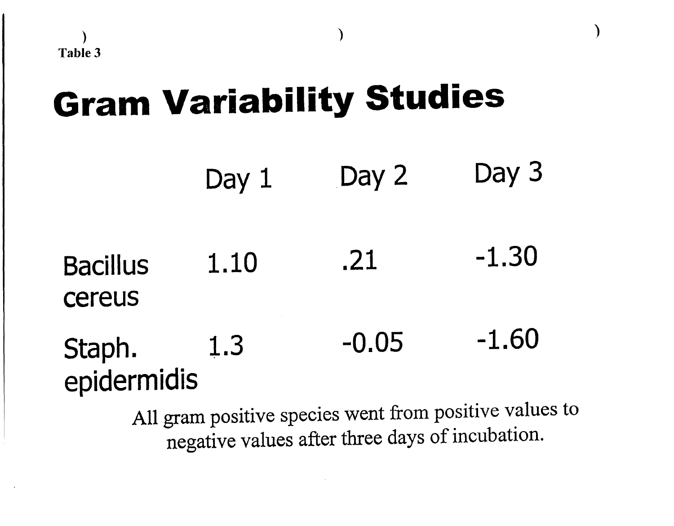

# **Gram Variability Studies**

|                           | Day $1$ | Day 2   | Day 3   |
|---------------------------|---------|---------|---------|
| <b>Bacillus</b><br>cereus | 1.10    | .21     | $-1.30$ |
| Staph.<br>epidermidis     | 1.3     | $-0.05$ | $-1.60$ |

All gram positive species went from positive values to negative values after three days of incubation.

)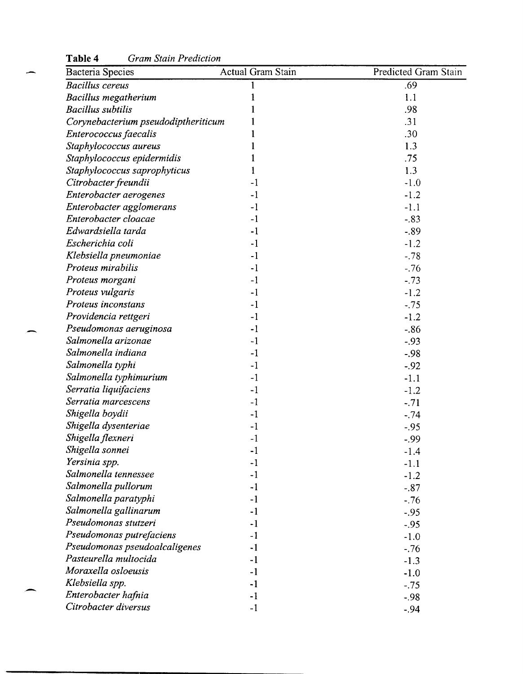| <b>Bacteria Species</b>                       | <b>Actual Gram Stain</b> | Predicted Gram Stain |
|-----------------------------------------------|--------------------------|----------------------|
| <b>Bacillus</b> cereus                        |                          | .69                  |
| <b>Bacillus megatherium</b>                   |                          | 1.1                  |
| <b>Bacillus</b> subtilis                      |                          | .98                  |
| Corynebacterium pseudodiptheriticum           |                          | .31                  |
| Enterococcus faecalis                         |                          | .30                  |
| Staphylococcus aureus                         |                          | 1.3                  |
| Staphylococcus epidermidis                    |                          | .75                  |
| Staphylococcus saprophyticus                  |                          | 1.3                  |
| Citrobacter freundii                          | $-1$                     | $-1.0$               |
| Enterobacter aerogenes                        | $-1$                     | $-1.2$               |
| Enterobacter agglomerans                      | $-1$                     | $-1.1$               |
| Enterobacter cloacae                          | $-1$                     | $-.83$               |
| Edwardsiella tarda                            | $-1$                     | $-0.89$              |
| Escherichia coli                              | $-1$                     | $-1.2$               |
| Klebsiella pneumoniae                         | $-1$                     | $-.78$               |
| Proteus mirabilis                             | $-1$                     | $-.76$               |
| Proteus morgani                               | $-1$                     | $-73$                |
| Proteus vulgaris                              | $-1$                     | $-1.2$               |
| Proteus inconstans                            | $-1$                     | $-75$                |
| Providencia rettgeri                          | $-1$                     | $-1.2$               |
| Pseudomonas aeruginosa                        | $-1$                     | $-.86$               |
| Salmonella arizonae                           | $-1$                     | $-.93$               |
| Salmonella indiana                            | $-1$                     | $-.98$               |
| Salmonella typhi                              | $-1$                     | $-.92$               |
| Salmonella typhimurium                        | $-1$                     | $-1.1$               |
| Serratia liquifaciens                         | $-1$                     | $-1.2$               |
| Serratia marcescens                           | $-1$                     | $-.71$               |
| Shigella boydii                               | -1                       | $-.74$               |
| Shigella dysenteriae                          | $-1$                     | $-.95$               |
| Shigella flexneri                             | $-1$                     |                      |
| Shigella sonnei                               | $-1$                     | $-0.99$              |
| Yersinia spp.                                 | $-1$                     | $-1.4$               |
| Salmonella tennessee                          | $-1$                     | $-1.1$               |
| Salmonella pullorum                           | $-1$                     | $-1.2$               |
|                                               |                          | $-.87$               |
| Salmonella paratyphi                          | -1                       | $-.76$               |
| Salmonella gallinarum<br>Pseudomonas stutzeri | $-1$                     | $-.95$               |
|                                               | $-1$                     | $-0.95$              |
| Pseudomonas putrefaciens                      | -1                       | $-1.0$               |
| Pseudomonas pseudoalcaligenes                 | $-1$                     | $-.76$               |
| Pasteurella multocida                         | $-1$                     | $-1.3$               |
| Moraxella osloeusis                           | $-1$                     | $-1.0$               |
| Klebsiella spp.                               | $-1$                     | $-.75$               |
| Enterobacter hafnia                           | $-1$                     | $-.98$               |
| Citrobacter diversus                          | $-1$                     | $-.94$               |

**Table 4** *Gram Stain Prediction*